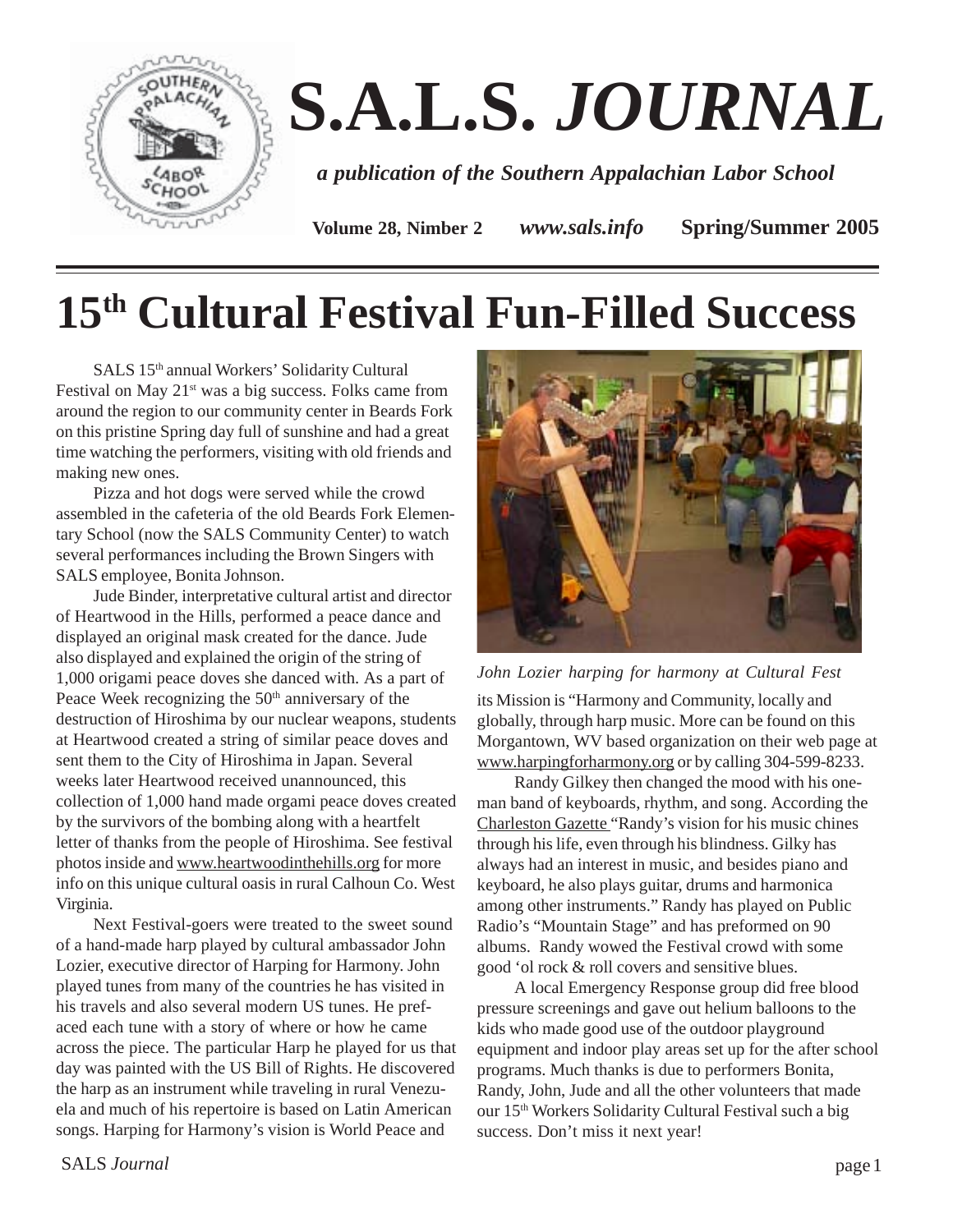

# **S.A.L.S.** *JOURNAL*

*a publication of the Southern Appalachian Labor School*

**Volume 28, Nimber 2** *www.sals.info* **Spring/Summer 2005**

## **15th Cultural Festival Fun-Filled Success**

SALS 15th annual Workers' Solidarity Cultural Festival on May  $21^{st}$  was a big success. Folks came from around the region to our community center in Beards Fork on this pristine Spring day full of sunshine and had a great time watching the performers, visiting with old friends and making new ones.

Pizza and hot dogs were served while the crowd assembled in the cafeteria of the old Beards Fork Elementary School (now the SALS Community Center) to watch several performances including the Brown Singers with SALS employee, Bonita Johnson.

Jude Binder, interpretative cultural artist and director of Heartwood in the Hills, performed a peace dance and displayed an original mask created for the dance. Jude also displayed and explained the origin of the string of 1,000 origami peace doves she danced with. As a part of Peace Week recognizing the  $50<sup>th</sup>$  anniversary of the destruction of Hiroshima by our nuclear weapons, students at Heartwood created a string of similar peace doves and sent them to the City of Hiroshima in Japan. Several weeks later Heartwood received unannounced, this collection of 1,000 hand made orgami peace doves created by the survivors of the bombing along with a heartfelt letter of thanks from the people of Hiroshima. See festival photos inside and www.heartwoodinthehills.org for more info on this unique cultural oasis in rural Calhoun Co. West Virginia.

Next Festival-goers were treated to the sweet sound of a hand-made harp played by cultural ambassador John Lozier, executive director of Harping for Harmony. John played tunes from many of the countries he has visited in his travels and also several modern US tunes. He prefaced each tune with a story of where or how he came across the piece. The particular Harp he played for us that day was painted with the US Bill of Rights. He discovered the harp as an instrument while traveling in rural Venezuela and much of his repertoire is based on Latin American songs. Harping for Harmony's vision is World Peace and



*John Lozier harping for harmony at Cultural Fest*

its Mission is "Harmony and Community, locally and globally, through harp music. More can be found on this Morgantown, WV based organization on their web page at www.harpingforharmony.org or by calling 304-599-8233.

Randy Gilkey then changed the mood with his oneman band of keyboards, rhythm, and song. According the Charleston Gazette "Randy's vision for his music chines through his life, even through his blindness. Gilky has always had an interest in music, and besides piano and keyboard, he also plays guitar, drums and harmonica among other instruments." Randy has played on Public Radio's "Mountain Stage" and has preformed on 90 albums. Randy wowed the Festival crowd with some good 'ol rock & roll covers and sensitive blues.

A local Emergency Response group did free blood pressure screenings and gave out helium balloons to the kids who made good use of the outdoor playground equipment and indoor play areas set up for the after school programs. Much thanks is due to performers Bonita, Randy, John, Jude and all the other volunteers that made our 15th Workers Solidarity Cultural Festival such a big success. Don't miss it next year!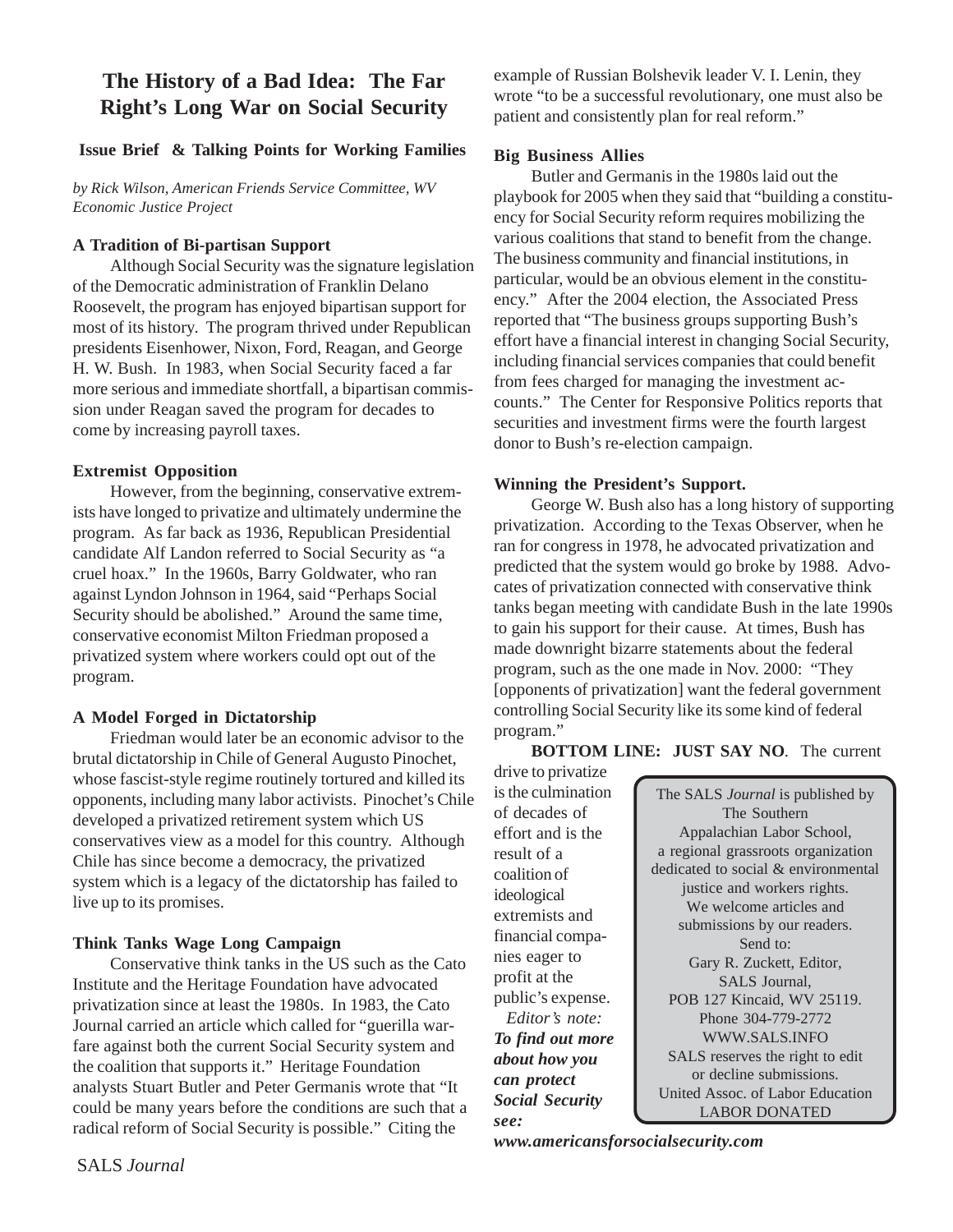#### **The History of a Bad Idea: The Far Right's Long War on Social Security**

#### **Issue Brief & Talking Points for Working Families**

*by Rick Wilson, American Friends Service Committee, WV Economic Justice Project*

#### **A Tradition of Bi-partisan Support**

Although Social Security was the signature legislation of the Democratic administration of Franklin Delano Roosevelt, the program has enjoyed bipartisan support for most of its history. The program thrived under Republican presidents Eisenhower, Nixon, Ford, Reagan, and George H. W. Bush. In 1983, when Social Security faced a far more serious and immediate shortfall, a bipartisan commission under Reagan saved the program for decades to come by increasing payroll taxes.

#### **Extremist Opposition**

However, from the beginning, conservative extremists have longed to privatize and ultimately undermine the program. As far back as 1936, Republican Presidential candidate Alf Landon referred to Social Security as "a cruel hoax." In the 1960s, Barry Goldwater, who ran against Lyndon Johnson in 1964, said "Perhaps Social Security should be abolished." Around the same time, conservative economist Milton Friedman proposed a privatized system where workers could opt out of the program.

#### **A Model Forged in Dictatorship**

Friedman would later be an economic advisor to the brutal dictatorship in Chile of General Augusto Pinochet, whose fascist-style regime routinely tortured and killed its opponents, including many labor activists. Pinochet's Chile developed a privatized retirement system which US conservatives view as a model for this country. Although Chile has since become a democracy, the privatized system which is a legacy of the dictatorship has failed to live up to its promises.

#### **Think Tanks Wage Long Campaign**

Conservative think tanks in the US such as the Cato Institute and the Heritage Foundation have advocated privatization since at least the 1980s. In 1983, the Cato Journal carried an article which called for "guerilla warfare against both the current Social Security system and the coalition that supports it." Heritage Foundation analysts Stuart Butler and Peter Germanis wrote that "It could be many years before the conditions are such that a radical reform of Social Security is possible." Citing the

example of Russian Bolshevik leader V. I. Lenin, they wrote "to be a successful revolutionary, one must also be patient and consistently plan for real reform."

#### **Big Business Allies**

Butler and Germanis in the 1980s laid out the playbook for 2005 when they said that "building a constituency for Social Security reform requires mobilizing the various coalitions that stand to benefit from the change. The business community and financial institutions, in particular, would be an obvious element in the constituency." After the 2004 election, the Associated Press reported that "The business groups supporting Bush's effort have a financial interest in changing Social Security, including financial services companies that could benefit from fees charged for managing the investment accounts." The Center for Responsive Politics reports that securities and investment firms were the fourth largest donor to Bush's re-election campaign.

#### **Winning the President's Support.**

George W. Bush also has a long history of supporting privatization. According to the Texas Observer, when he ran for congress in 1978, he advocated privatization and predicted that the system would go broke by 1988. Advocates of privatization connected with conservative think tanks began meeting with candidate Bush in the late 1990s to gain his support for their cause. At times, Bush has made downright bizarre statements about the federal program, such as the one made in Nov. 2000: "They [opponents of privatization] want the federal government controlling Social Security like its some kind of federal program."

**BOTTOM LINE: JUST SAY NO**. The current

drive to privatize is the culmination of decades of effort and is the result of a coalition of ideological extremists and financial companies eager to profit at the public's expense.  *Editor's note: To find out more about how you can protect Social Security see:*

The SALS *Journal* is published by The Southern Appalachian Labor School, a regional grassroots organization dedicated to social & environmental justice and workers rights. We welcome articles and submissions by our readers. Send to: Gary R. Zuckett, Editor, SALS Journal, POB 127 Kincaid, WV 25119. Phone 304-779-2772 WWW.SALS.INFO SALS reserves the right to edit or decline submissions. United Assoc. of Labor Education LABOR DONATED

*www.americansforsocialsecurity.com*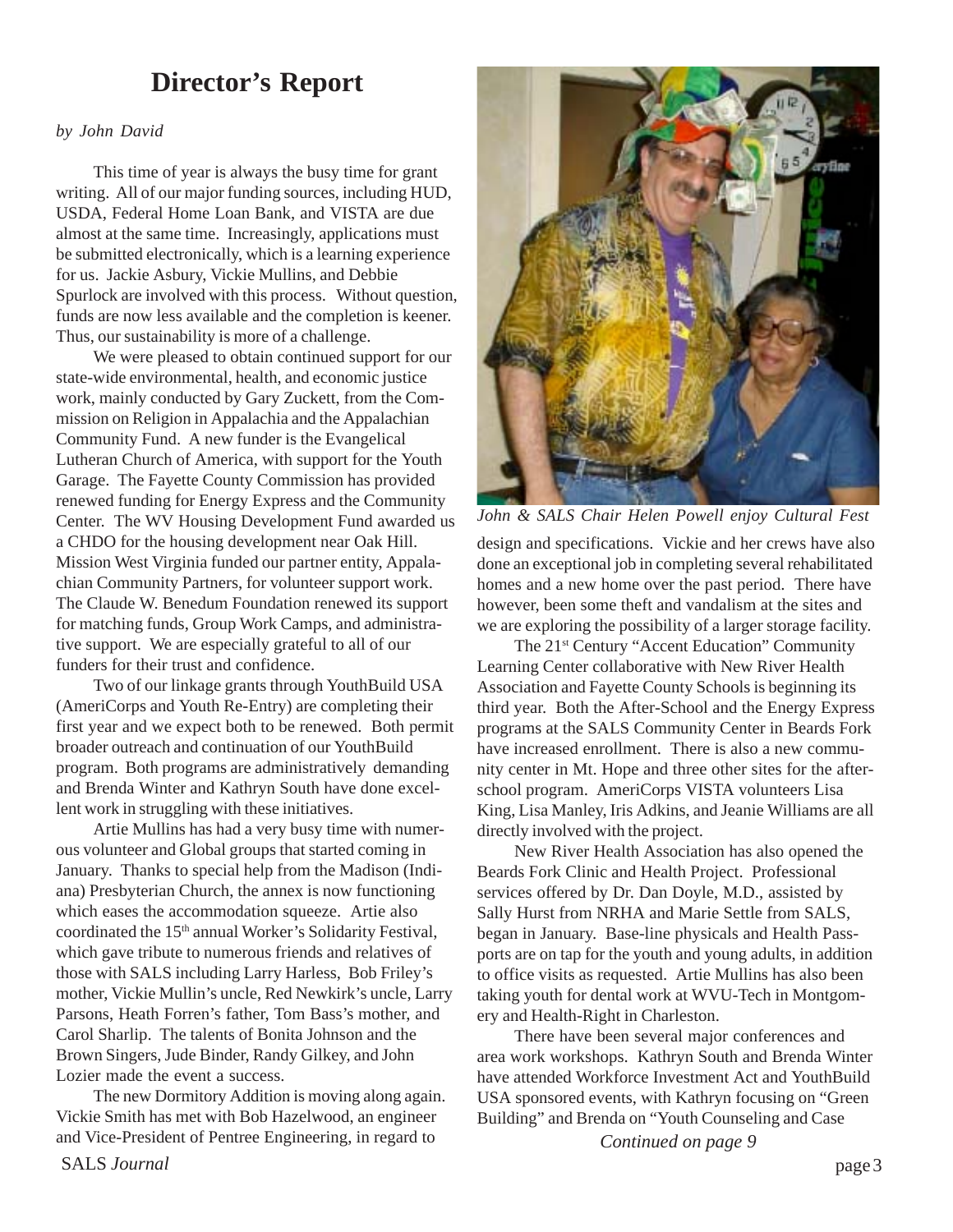## **Director's Report**

#### *by John David*

This time of year is always the busy time for grant writing. All of our major funding sources, including HUD, USDA, Federal Home Loan Bank, and VISTA are due almost at the same time. Increasingly, applications must be submitted electronically, which is a learning experience for us. Jackie Asbury, Vickie Mullins, and Debbie Spurlock are involved with this process. Without question, funds are now less available and the completion is keener. Thus, our sustainability is more of a challenge.

We were pleased to obtain continued support for our state-wide environmental, health, and economic justice work, mainly conducted by Gary Zuckett, from the Commission on Religion in Appalachia and the Appalachian Community Fund. A new funder is the Evangelical Lutheran Church of America, with support for the Youth Garage. The Fayette County Commission has provided renewed funding for Energy Express and the Community Center. The WV Housing Development Fund awarded us a CHDO for the housing development near Oak Hill. Mission West Virginia funded our partner entity, Appalachian Community Partners, for volunteer support work. The Claude W. Benedum Foundation renewed its support for matching funds, Group Work Camps, and administrative support. We are especially grateful to all of our funders for their trust and confidence.

Two of our linkage grants through YouthBuild USA (AmeriCorps and Youth Re-Entry) are completing their first year and we expect both to be renewed. Both permit broader outreach and continuation of our YouthBuild program. Both programs are administratively demanding and Brenda Winter and Kathryn South have done excellent work in struggling with these initiatives.

Artie Mullins has had a very busy time with numerous volunteer and Global groups that started coming in January. Thanks to special help from the Madison (Indiana) Presbyterian Church, the annex is now functioning which eases the accommodation squeeze. Artie also coordinated the 15<sup>th</sup> annual Worker's Solidarity Festival, which gave tribute to numerous friends and relatives of those with SALS including Larry Harless, Bob Friley's mother, Vickie Mullin's uncle, Red Newkirk's uncle, Larry Parsons, Heath Forren's father, Tom Bass's mother, and Carol Sharlip. The talents of Bonita Johnson and the Brown Singers, Jude Binder, Randy Gilkey, and John Lozier made the event a success.

The new Dormitory Addition is moving along again. Vickie Smith has met with Bob Hazelwood, an engineer and Vice-President of Pentree Engineering, in regard to



*John & SALS Chair Helen Powell enjoy Cultural Fest*

design and specifications. Vickie and her crews have also done an exceptional job in completing several rehabilitated homes and a new home over the past period. There have however, been some theft and vandalism at the sites and we are exploring the possibility of a larger storage facility.

The 21st Century "Accent Education" Community Learning Center collaborative with New River Health Association and Fayette County Schools is beginning its third year. Both the After-School and the Energy Express programs at the SALS Community Center in Beards Fork have increased enrollment. There is also a new community center in Mt. Hope and three other sites for the afterschool program. AmeriCorps VISTA volunteers Lisa King, Lisa Manley, Iris Adkins, and Jeanie Williams are all directly involved with the project.

New River Health Association has also opened the Beards Fork Clinic and Health Project. Professional services offered by Dr. Dan Doyle, M.D., assisted by Sally Hurst from NRHA and Marie Settle from SALS, began in January. Base-line physicals and Health Passports are on tap for the youth and young adults, in addition to office visits as requested. Artie Mullins has also been taking youth for dental work at WVU-Tech in Montgomery and Health-Right in Charleston.

There have been several major conferences and area work workshops. Kathryn South and Brenda Winter have attended Workforce Investment Act and YouthBuild USA sponsored events, with Kathryn focusing on "Green Building" and Brenda on "Youth Counseling and Case

*Continued on page 9*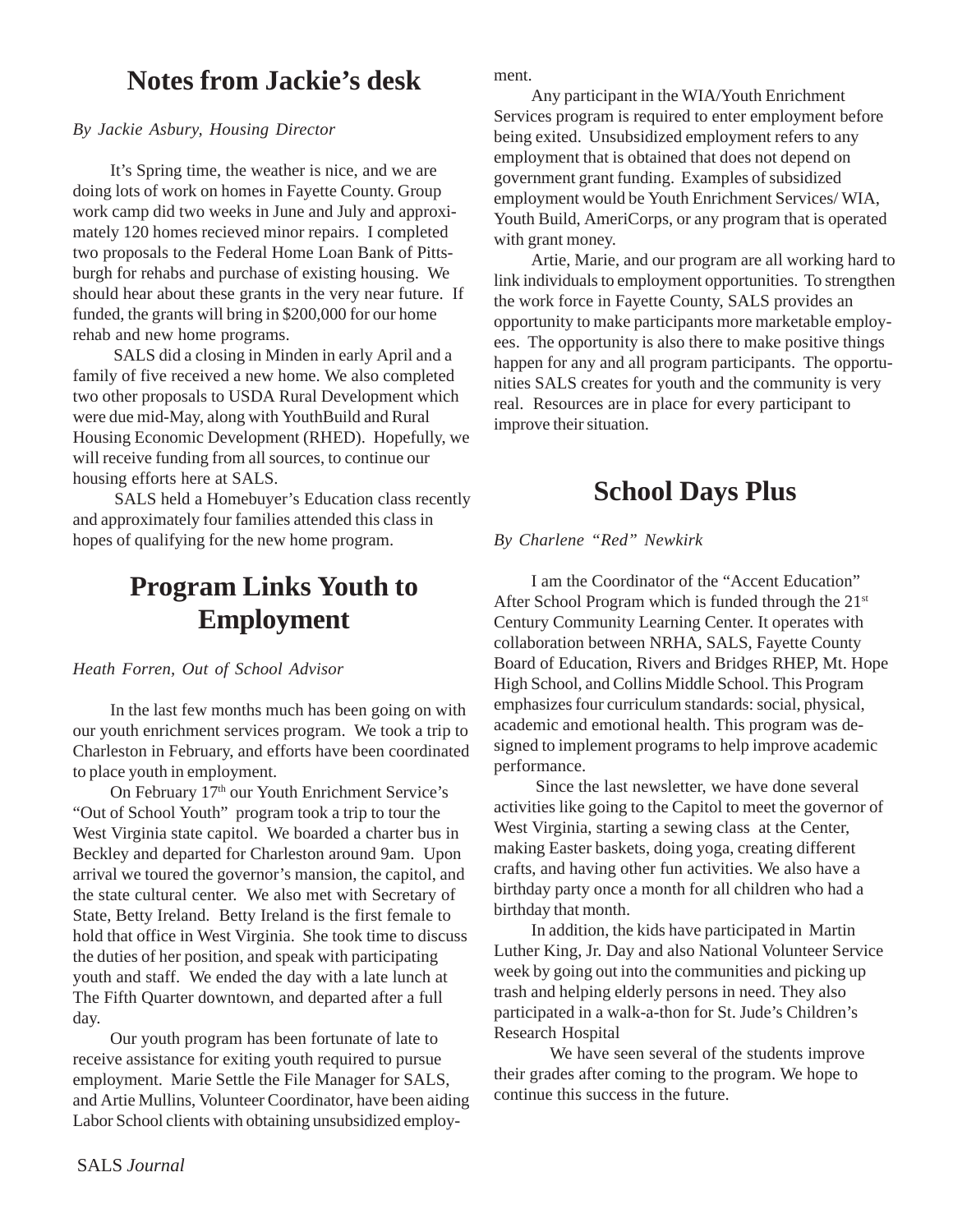## **Notes from Jackie's desk**

#### *By Jackie Asbury, Housing Director*

It's Spring time, the weather is nice, and we are doing lots of work on homes in Fayette County. Group work camp did two weeks in June and July and approximately 120 homes recieved minor repairs. I completed two proposals to the Federal Home Loan Bank of Pittsburgh for rehabs and purchase of existing housing. We should hear about these grants in the very near future. If funded, the grants will bring in \$200,000 for our home rehab and new home programs.

 SALS did a closing in Minden in early April and a family of five received a new home. We also completed two other proposals to USDA Rural Development which were due mid-May, along with YouthBuild and Rural Housing Economic Development (RHED). Hopefully, we will receive funding from all sources, to continue our housing efforts here at SALS.

 SALS held a Homebuyer's Education class recently and approximately four families attended this class in hopes of qualifying for the new home program.

## **Program Links Youth to Employment**

#### *Heath Forren, Out of School Advisor*

In the last few months much has been going on with our youth enrichment services program. We took a trip to Charleston in February, and efforts have been coordinated to place youth in employment.

On February 17<sup>th</sup> our Youth Enrichment Service's "Out of School Youth" program took a trip to tour the West Virginia state capitol. We boarded a charter bus in Beckley and departed for Charleston around 9am. Upon arrival we toured the governor's mansion, the capitol, and the state cultural center. We also met with Secretary of State, Betty Ireland. Betty Ireland is the first female to hold that office in West Virginia. She took time to discuss the duties of her position, and speak with participating youth and staff. We ended the day with a late lunch at The Fifth Quarter downtown, and departed after a full day.

Our youth program has been fortunate of late to receive assistance for exiting youth required to pursue employment. Marie Settle the File Manager for SALS, and Artie Mullins, Volunteer Coordinator, have been aiding Labor School clients with obtaining unsubsidized employment.

Any participant in the WIA/Youth Enrichment Services program is required to enter employment before being exited. Unsubsidized employment refers to any employment that is obtained that does not depend on government grant funding. Examples of subsidized employment would be Youth Enrichment Services/ WIA, Youth Build, AmeriCorps, or any program that is operated with grant money.

Artie, Marie, and our program are all working hard to link individuals to employment opportunities. To strengthen the work force in Fayette County, SALS provides an opportunity to make participants more marketable employees. The opportunity is also there to make positive things happen for any and all program participants. The opportunities SALS creates for youth and the community is very real. Resources are in place for every participant to improve their situation.

## **School Days Plus**

*By Charlene "Red" Newkirk*

I am the Coordinator of the "Accent Education" After School Program which is funded through the 21st Century Community Learning Center. It operates with collaboration between NRHA, SALS, Fayette County Board of Education, Rivers and Bridges RHEP, Mt. Hope High School, and Collins Middle School. This Program emphasizes four curriculum standards: social, physical, academic and emotional health. This program was designed to implement programs to help improve academic performance.

 Since the last newsletter, we have done several activities like going to the Capitol to meet the governor of West Virginia, starting a sewing class at the Center, making Easter baskets, doing yoga, creating different crafts, and having other fun activities. We also have a birthday party once a month for all children who had a birthday that month.

In addition, the kids have participated in Martin Luther King, Jr. Day and also National Volunteer Service week by going out into the communities and picking up trash and helping elderly persons in need. They also participated in a walk-a-thon for St. Jude's Children's Research Hospital

We have seen several of the students improve their grades after coming to the program. We hope to continue this success in the future.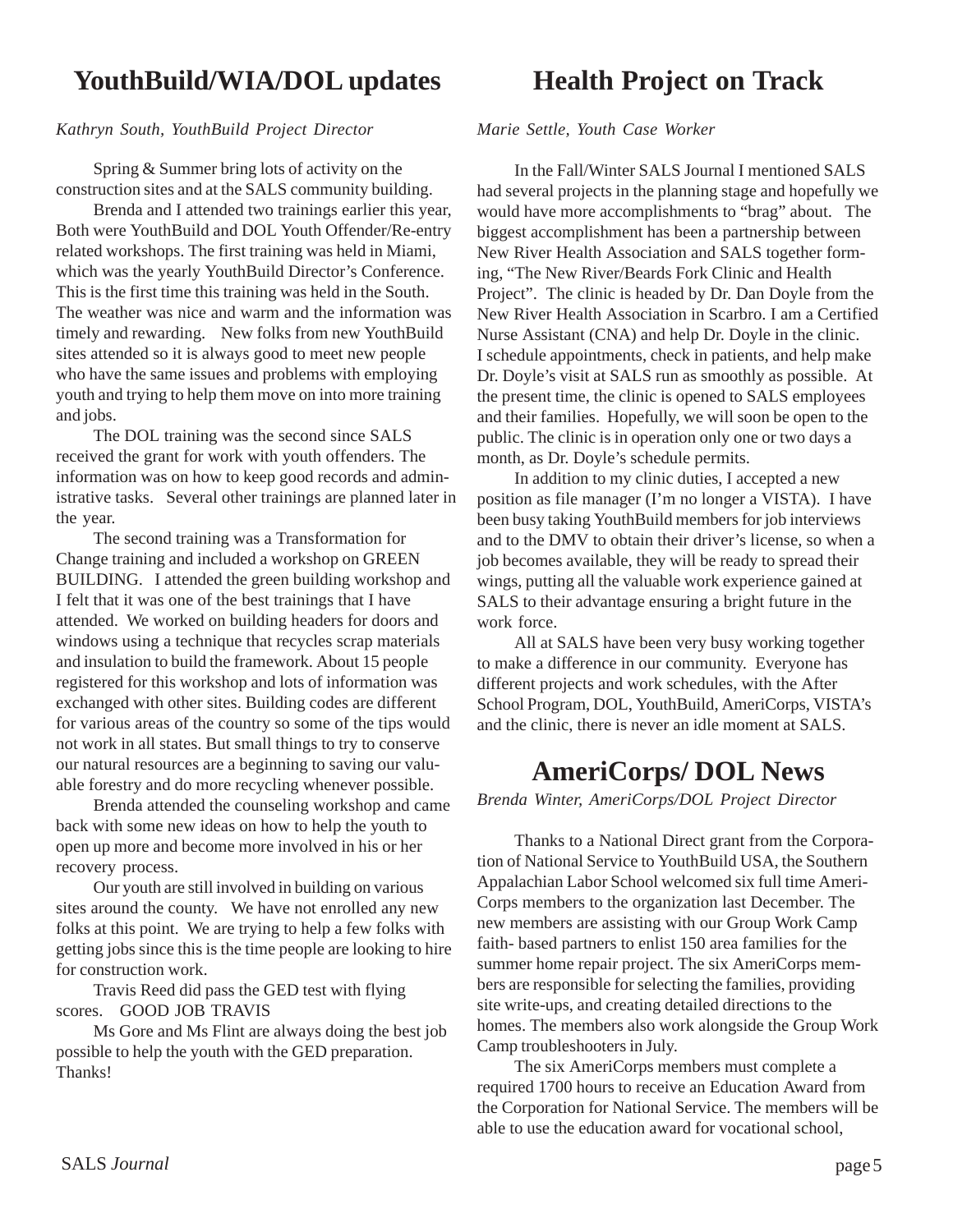## **YouthBuild/WIA/DOL updates**

#### *Kathryn South, YouthBuild Project Director*

Spring & Summer bring lots of activity on the construction sites and at the SALS community building.

Brenda and I attended two trainings earlier this year, Both were YouthBuild and DOL Youth Offender/Re-entry related workshops. The first training was held in Miami, which was the yearly YouthBuild Director's Conference. This is the first time this training was held in the South. The weather was nice and warm and the information was timely and rewarding. New folks from new YouthBuild sites attended so it is always good to meet new people who have the same issues and problems with employing youth and trying to help them move on into more training and jobs.

The DOL training was the second since SALS received the grant for work with youth offenders. The information was on how to keep good records and administrative tasks. Several other trainings are planned later in the year.

The second training was a Transformation for Change training and included a workshop on GREEN BUILDING. I attended the green building workshop and I felt that it was one of the best trainings that I have attended. We worked on building headers for doors and windows using a technique that recycles scrap materials and insulation to build the framework. About 15 people registered for this workshop and lots of information was exchanged with other sites. Building codes are different for various areas of the country so some of the tips would not work in all states. But small things to try to conserve our natural resources are a beginning to saving our valuable forestry and do more recycling whenever possible.

Brenda attended the counseling workshop and came back with some new ideas on how to help the youth to open up more and become more involved in his or her recovery process.

Our youth are still involved in building on various sites around the county. We have not enrolled any new folks at this point. We are trying to help a few folks with getting jobs since this is the time people are looking to hire for construction work.

Travis Reed did pass the GED test with flying scores. GOOD JOB TRAVIS

Ms Gore and Ms Flint are always doing the best job possible to help the youth with the GED preparation. Thanks!

## **Health Project on Track**

*Marie Settle, Youth Case Worker*

In the Fall/Winter SALS Journal I mentioned SALS had several projects in the planning stage and hopefully we would have more accomplishments to "brag" about. The biggest accomplishment has been a partnership between New River Health Association and SALS together forming, "The New River/Beards Fork Clinic and Health Project". The clinic is headed by Dr. Dan Doyle from the New River Health Association in Scarbro. I am a Certified Nurse Assistant (CNA) and help Dr. Doyle in the clinic. I schedule appointments, check in patients, and help make Dr. Doyle's visit at SALS run as smoothly as possible. At the present time, the clinic is opened to SALS employees and their families. Hopefully, we will soon be open to the public. The clinic is in operation only one or two days a month, as Dr. Doyle's schedule permits.

In addition to my clinic duties, I accepted a new position as file manager (I'm no longer a VISTA). I have been busy taking YouthBuild members for job interviews and to the DMV to obtain their driver's license, so when a job becomes available, they will be ready to spread their wings, putting all the valuable work experience gained at SALS to their advantage ensuring a bright future in the work force.

All at SALS have been very busy working together to make a difference in our community. Everyone has different projects and work schedules, with the After School Program, DOL, YouthBuild, AmeriCorps, VISTA's and the clinic, there is never an idle moment at SALS.

## **AmeriCorps/ DOL News**

*Brenda Winter, AmeriCorps/DOL Project Director*

Thanks to a National Direct grant from the Corporation of National Service to YouthBuild USA, the Southern Appalachian Labor School welcomed six full time Ameri-Corps members to the organization last December. The new members are assisting with our Group Work Camp faith- based partners to enlist 150 area families for the summer home repair project. The six AmeriCorps members are responsible for selecting the families, providing site write-ups, and creating detailed directions to the homes. The members also work alongside the Group Work Camp troubleshooters in July.

The six AmeriCorps members must complete a required 1700 hours to receive an Education Award from the Corporation for National Service. The members will be able to use the education award for vocational school,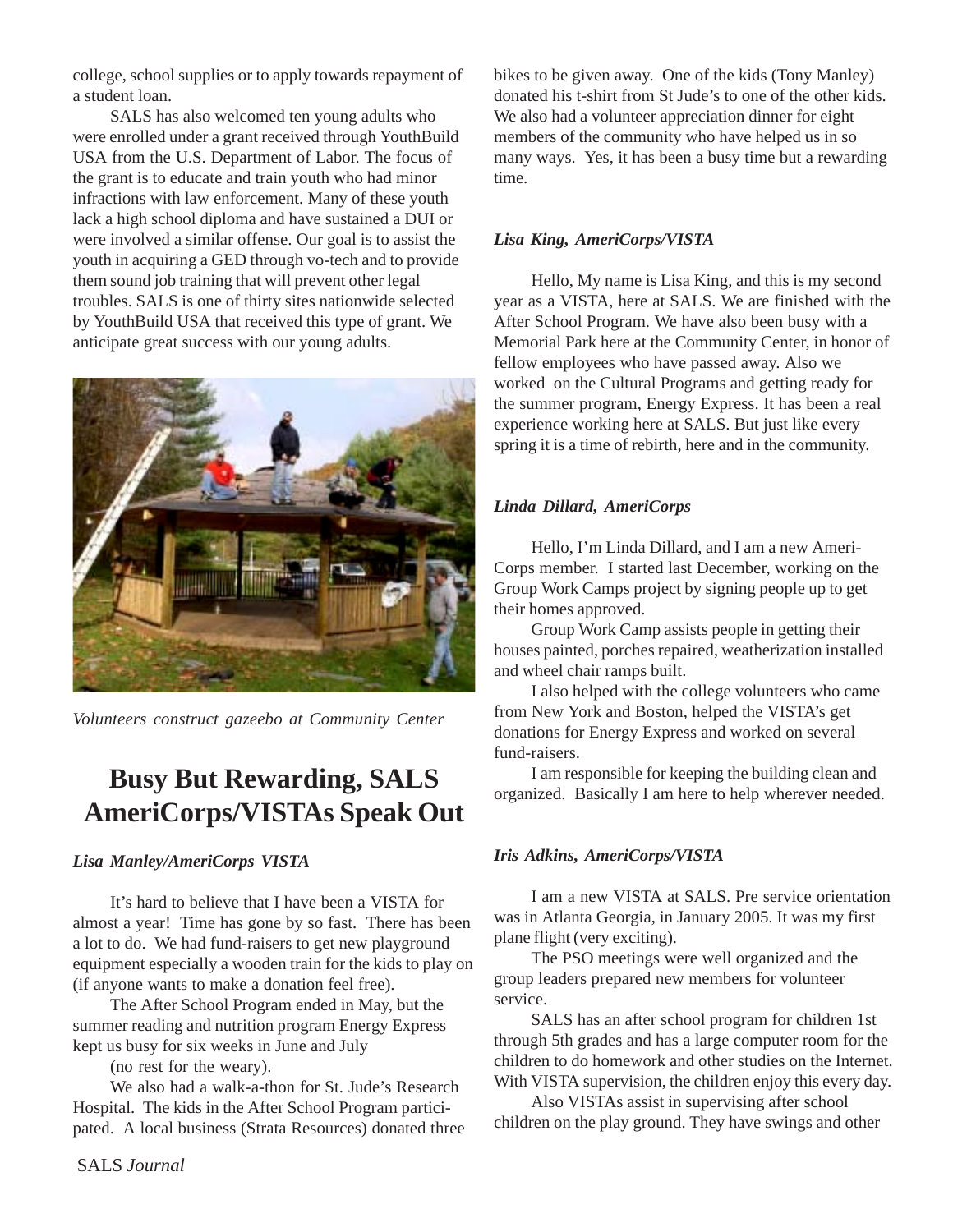college, school supplies or to apply towards repayment of a student loan.

SALS has also welcomed ten young adults who were enrolled under a grant received through YouthBuild USA from the U.S. Department of Labor. The focus of the grant is to educate and train youth who had minor infractions with law enforcement. Many of these youth lack a high school diploma and have sustained a DUI or were involved a similar offense. Our goal is to assist the youth in acquiring a GED through vo-tech and to provide them sound job training that will prevent other legal troubles. SALS is one of thirty sites nationwide selected by YouthBuild USA that received this type of grant. We anticipate great success with our young adults.



*Volunteers construct gazeebo at Community Center*

## **Busy But Rewarding, SALS AmeriCorps/VISTAs Speak Out**

#### *Lisa Manley/AmeriCorps VISTA*

It's hard to believe that I have been a VISTA for almost a year! Time has gone by so fast. There has been a lot to do. We had fund-raisers to get new playground equipment especially a wooden train for the kids to play on (if anyone wants to make a donation feel free).

The After School Program ended in May, but the summer reading and nutrition program Energy Express kept us busy for six weeks in June and July

(no rest for the weary).

We also had a walk-a-thon for St. Jude's Research Hospital. The kids in the After School Program participated. A local business (Strata Resources) donated three bikes to be given away. One of the kids (Tony Manley) donated his t-shirt from St Jude's to one of the other kids. We also had a volunteer appreciation dinner for eight members of the community who have helped us in so many ways. Yes, it has been a busy time but a rewarding time.

#### *Lisa King, AmeriCorps/VISTA*

Hello, My name is Lisa King, and this is my second year as a VISTA, here at SALS. We are finished with the After School Program. We have also been busy with a Memorial Park here at the Community Center, in honor of fellow employees who have passed away. Also we worked on the Cultural Programs and getting ready for the summer program, Energy Express. It has been a real experience working here at SALS. But just like every spring it is a time of rebirth, here and in the community.

#### *Linda Dillard, AmeriCorps*

Hello, I'm Linda Dillard, and I am a new Ameri-Corps member. I started last December, working on the Group Work Camps project by signing people up to get their homes approved.

Group Work Camp assists people in getting their houses painted, porches repaired, weatherization installed and wheel chair ramps built.

I also helped with the college volunteers who came from New York and Boston, helped the VISTA's get donations for Energy Express and worked on several fund-raisers.

I am responsible for keeping the building clean and organized. Basically I am here to help wherever needed.

#### *Iris Adkins, AmeriCorps/VISTA*

I am a new VISTA at SALS. Pre service orientation was in Atlanta Georgia, in January 2005. It was my first plane flight (very exciting).

The PSO meetings were well organized and the group leaders prepared new members for volunteer service.

SALS has an after school program for children 1st through 5th grades and has a large computer room for the children to do homework and other studies on the Internet. With VISTA supervision, the children enjoy this every day.

Also VISTAs assist in supervising after school children on the play ground. They have swings and other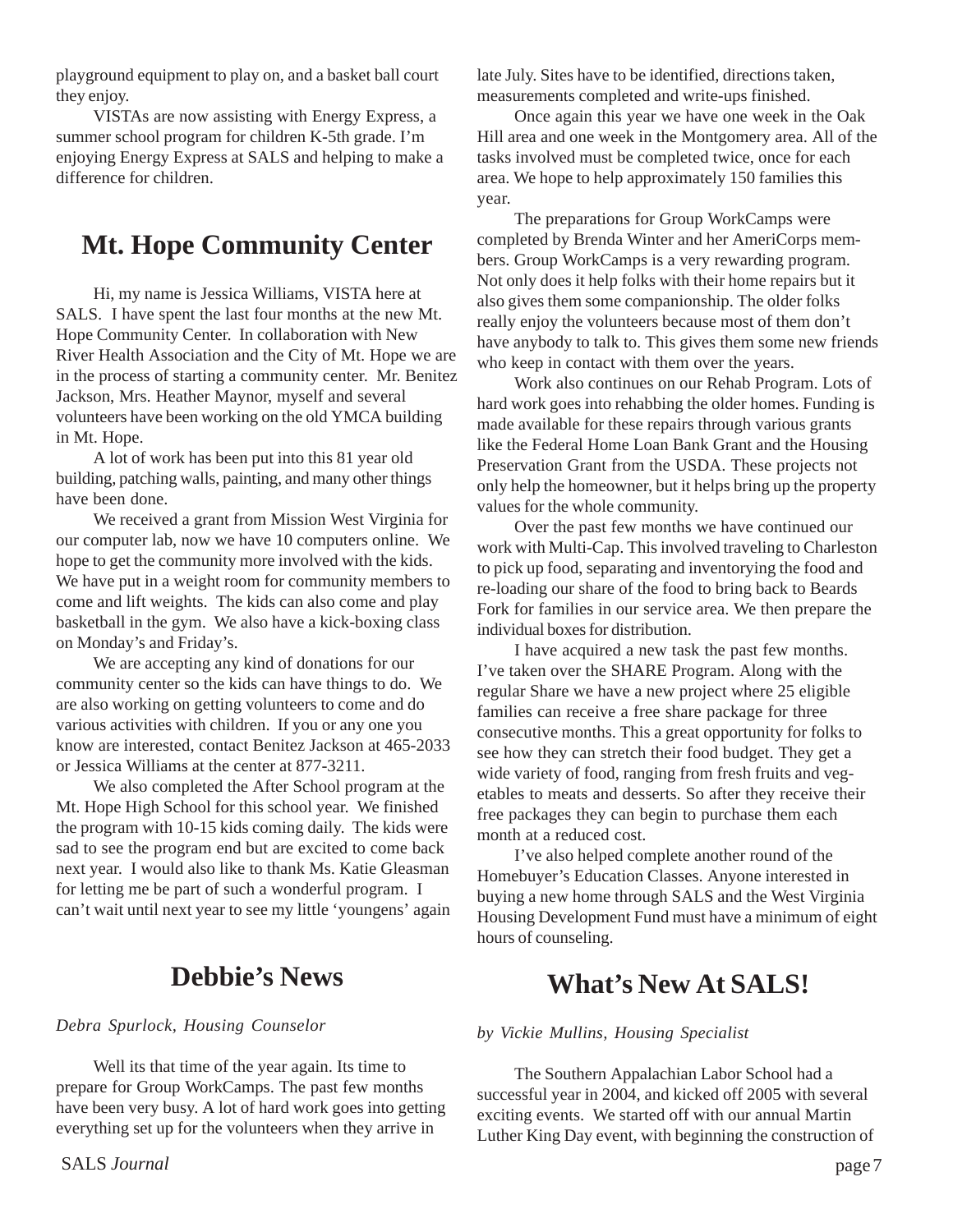playground equipment to play on, and a basket ball court they enjoy.

VISTAs are now assisting with Energy Express, a summer school program for children K-5th grade. I'm enjoying Energy Express at SALS and helping to make a difference for children.

## **Mt. Hope Community Center**

Hi, my name is Jessica Williams, VISTA here at SALS. I have spent the last four months at the new Mt. Hope Community Center. In collaboration with New River Health Association and the City of Mt. Hope we are in the process of starting a community center. Mr. Benitez Jackson, Mrs. Heather Maynor, myself and several volunteers have been working on the old YMCA building in Mt. Hope.

A lot of work has been put into this 81 year old building, patching walls, painting, and many other things have been done.

We received a grant from Mission West Virginia for our computer lab, now we have 10 computers online. We hope to get the community more involved with the kids. We have put in a weight room for community members to come and lift weights. The kids can also come and play basketball in the gym. We also have a kick-boxing class on Monday's and Friday's.

We are accepting any kind of donations for our community center so the kids can have things to do. We are also working on getting volunteers to come and do various activities with children. If you or any one you know are interested, contact Benitez Jackson at 465-2033 or Jessica Williams at the center at 877-3211.

We also completed the After School program at the Mt. Hope High School for this school year. We finished the program with 10-15 kids coming daily. The kids were sad to see the program end but are excited to come back next year. I would also like to thank Ms. Katie Gleasman for letting me be part of such a wonderful program. I can't wait until next year to see my little 'youngens' again

## **Debbie's News**

#### *Debra Spurlock, Housing Counselor*

Well its that time of the year again. Its time to prepare for Group WorkCamps. The past few months have been very busy. A lot of hard work goes into getting everything set up for the volunteers when they arrive in

late July. Sites have to be identified, directions taken, measurements completed and write-ups finished.

Once again this year we have one week in the Oak Hill area and one week in the Montgomery area. All of the tasks involved must be completed twice, once for each area. We hope to help approximately 150 families this year.

The preparations for Group WorkCamps were completed by Brenda Winter and her AmeriCorps members. Group WorkCamps is a very rewarding program. Not only does it help folks with their home repairs but it also gives them some companionship. The older folks really enjoy the volunteers because most of them don't have anybody to talk to. This gives them some new friends who keep in contact with them over the years.

Work also continues on our Rehab Program. Lots of hard work goes into rehabbing the older homes. Funding is made available for these repairs through various grants like the Federal Home Loan Bank Grant and the Housing Preservation Grant from the USDA. These projects not only help the homeowner, but it helps bring up the property values for the whole community.

Over the past few months we have continued our work with Multi-Cap. This involved traveling to Charleston to pick up food, separating and inventorying the food and re-loading our share of the food to bring back to Beards Fork for families in our service area. We then prepare the individual boxes for distribution.

I have acquired a new task the past few months. I've taken over the SHARE Program. Along with the regular Share we have a new project where 25 eligible families can receive a free share package for three consecutive months. This a great opportunity for folks to see how they can stretch their food budget. They get a wide variety of food, ranging from fresh fruits and vegetables to meats and desserts. So after they receive their free packages they can begin to purchase them each month at a reduced cost.

I've also helped complete another round of the Homebuyer's Education Classes. Anyone interested in buying a new home through SALS and the West Virginia Housing Development Fund must have a minimum of eight hours of counseling.

## **What's New At SALS!**

#### *by Vickie Mullins, Housing Specialist*

The Southern Appalachian Labor School had a successful year in 2004, and kicked off 2005 with several exciting events. We started off with our annual Martin Luther King Day event, with beginning the construction of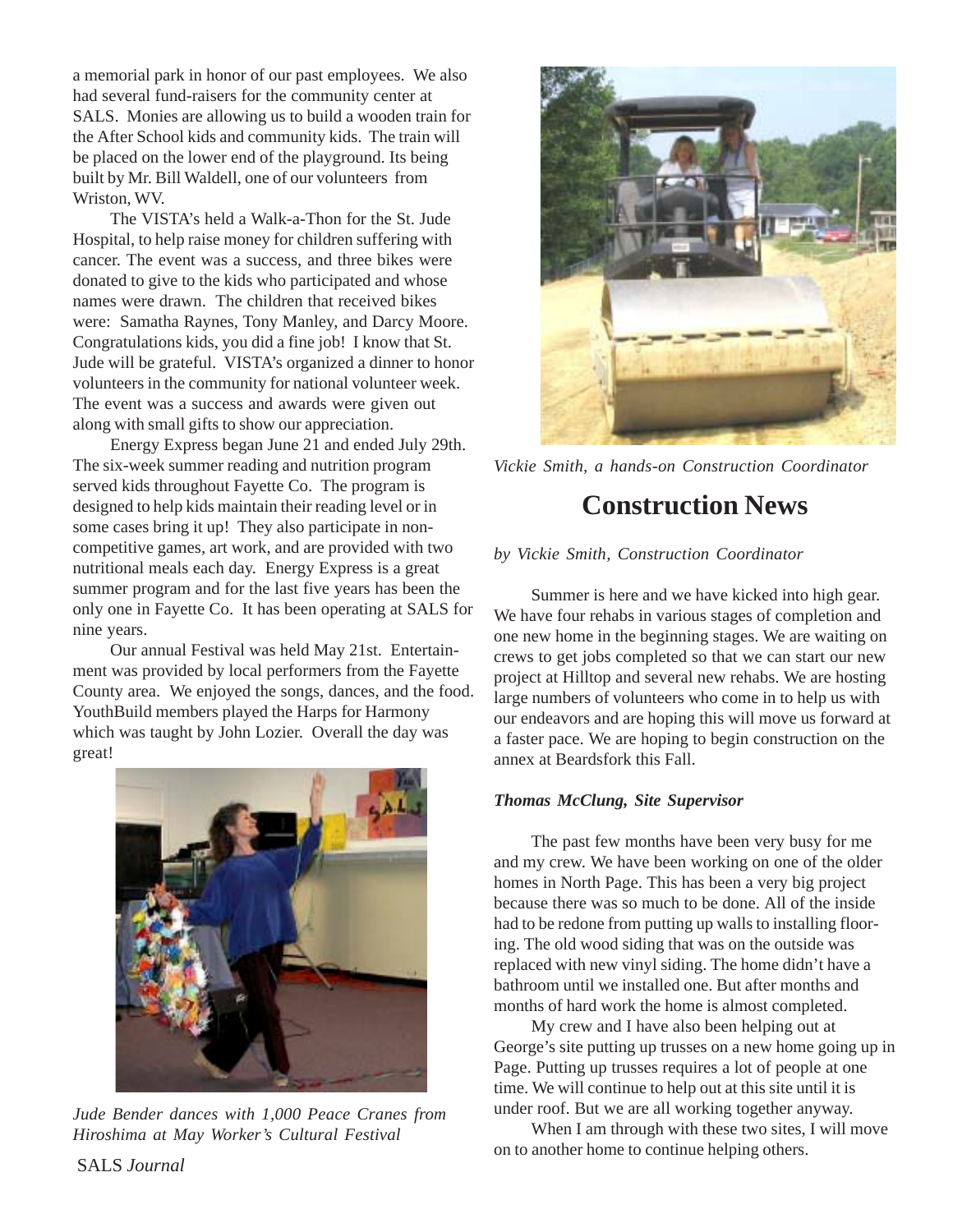a memorial park in honor of our past employees. We also had several fund-raisers for the community center at SALS. Monies are allowing us to build a wooden train for the After School kids and community kids. The train will be placed on the lower end of the playground. Its being built by Mr. Bill Waldell, one of our volunteers from Wriston, WV.

The VISTA's held a Walk-a-Thon for the St. Jude Hospital, to help raise money for children suffering with cancer. The event was a success, and three bikes were donated to give to the kids who participated and whose names were drawn. The children that received bikes were: Samatha Raynes, Tony Manley, and Darcy Moore. Congratulations kids, you did a fine job! I know that St. Jude will be grateful. VISTA's organized a dinner to honor volunteers in the community for national volunteer week. The event was a success and awards were given out along with small gifts to show our appreciation.

Energy Express began June 21 and ended July 29th. The six-week summer reading and nutrition program served kids throughout Fayette Co. The program is designed to help kids maintain their reading level or in some cases bring it up! They also participate in noncompetitive games, art work, and are provided with two nutritional meals each day. Energy Express is a great summer program and for the last five years has been the only one in Fayette Co. It has been operating at SALS for nine years.

Our annual Festival was held May 21st. Entertainment was provided by local performers from the Fayette County area. We enjoyed the songs, dances, and the food. YouthBuild members played the Harps for Harmony which was taught by John Lozier. Overall the day was great!



*Jude Bender dances with 1,000 Peace Cranes from Hiroshima at May Worker's Cultural Festival*



*Vickie Smith, a hands-on Construction Coordinator*

## **Construction News**

#### *by Vickie Smith, Construction Coordinator*

Summer is here and we have kicked into high gear. We have four rehabs in various stages of completion and one new home in the beginning stages. We are waiting on crews to get jobs completed so that we can start our new project at Hilltop and several new rehabs. We are hosting large numbers of volunteers who come in to help us with our endeavors and are hoping this will move us forward at a faster pace. We are hoping to begin construction on the annex at Beardsfork this Fall.

#### *Thomas McClung, Site Supervisor*

The past few months have been very busy for me and my crew. We have been working on one of the older homes in North Page. This has been a very big project because there was so much to be done. All of the inside had to be redone from putting up walls to installing flooring. The old wood siding that was on the outside was replaced with new vinyl siding. The home didn't have a bathroom until we installed one. But after months and months of hard work the home is almost completed.

My crew and I have also been helping out at George's site putting up trusses on a new home going up in Page. Putting up trusses requires a lot of people at one time. We will continue to help out at this site until it is under roof. But we are all working together anyway.

When I am through with these two sites, I will move on to another home to continue helping others.

SALS *Journal*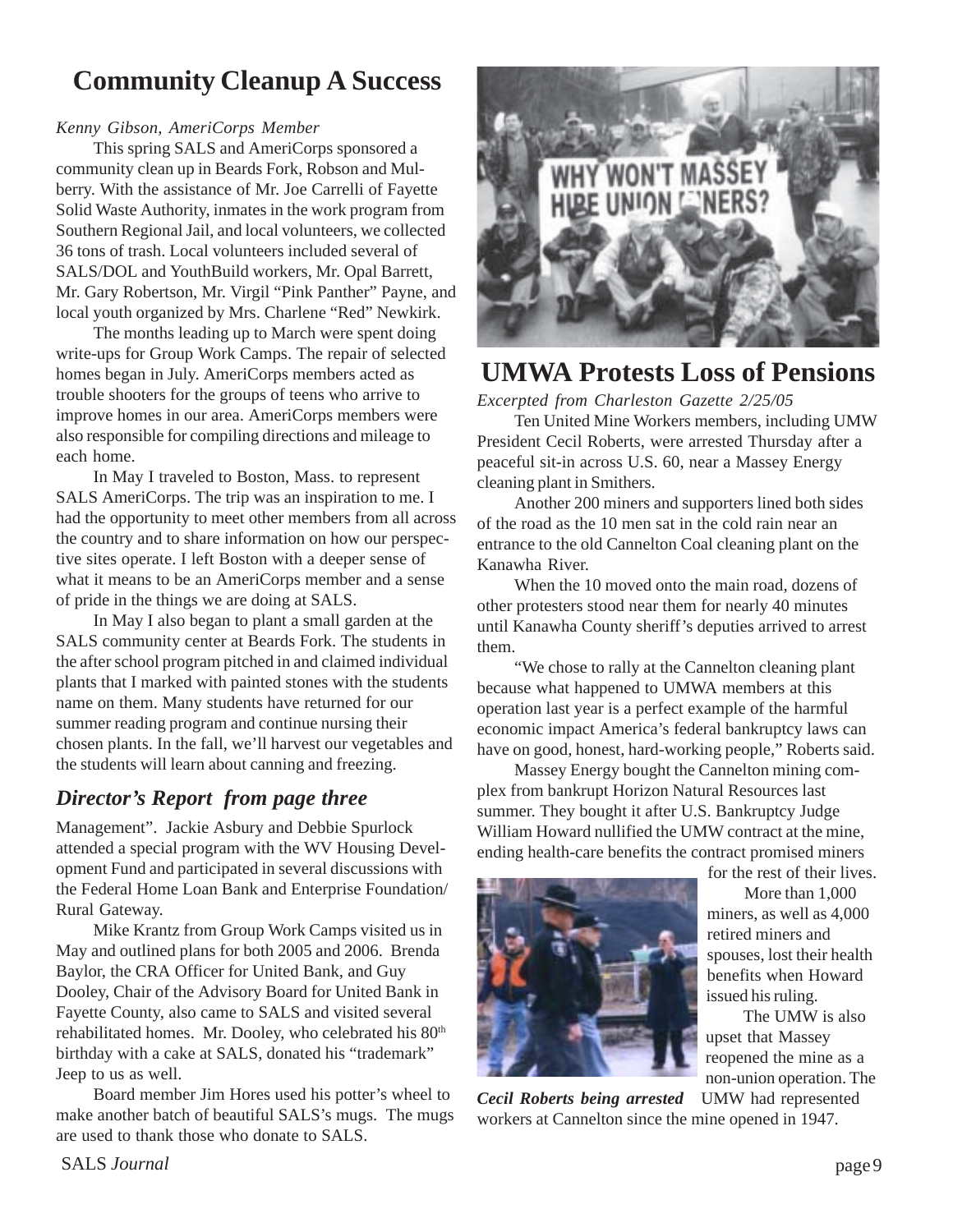## **Community Cleanup A Success**

#### *Kenny Gibson, AmeriCorps Member*

This spring SALS and AmeriCorps sponsored a community clean up in Beards Fork, Robson and Mulberry. With the assistance of Mr. Joe Carrelli of Fayette Solid Waste Authority, inmates in the work program from Southern Regional Jail, and local volunteers, we collected 36 tons of trash. Local volunteers included several of SALS/DOL and YouthBuild workers, Mr. Opal Barrett, Mr. Gary Robertson, Mr. Virgil "Pink Panther" Payne, and local youth organized by Mrs. Charlene "Red" Newkirk.

The months leading up to March were spent doing write-ups for Group Work Camps. The repair of selected homes began in July. AmeriCorps members acted as trouble shooters for the groups of teens who arrive to improve homes in our area. AmeriCorps members were also responsible for compiling directions and mileage to each home.

In May I traveled to Boston, Mass. to represent SALS AmeriCorps. The trip was an inspiration to me. I had the opportunity to meet other members from all across the country and to share information on how our perspective sites operate. I left Boston with a deeper sense of what it means to be an AmeriCorps member and a sense of pride in the things we are doing at SALS.

In May I also began to plant a small garden at the SALS community center at Beards Fork. The students in the after school program pitched in and claimed individual plants that I marked with painted stones with the students name on them. Many students have returned for our summer reading program and continue nursing their chosen plants. In the fall, we'll harvest our vegetables and the students will learn about canning and freezing.

### *Director's Report from page three*

Management". Jackie Asbury and Debbie Spurlock attended a special program with the WV Housing Development Fund and participated in several discussions with the Federal Home Loan Bank and Enterprise Foundation/ Rural Gateway.

Mike Krantz from Group Work Camps visited us in May and outlined plans for both 2005 and 2006. Brenda Baylor, the CRA Officer for United Bank, and Guy Dooley, Chair of the Advisory Board for United Bank in Fayette County, also came to SALS and visited several rehabilitated homes. Mr. Dooley, who celebrated his 80<sup>th</sup> birthday with a cake at SALS, donated his "trademark" Jeep to us as well.

Board member Jim Hores used his potter's wheel to make another batch of beautiful SALS's mugs. The mugs are used to thank those who donate to SALS.



## **UMWA Protests Loss of Pensions**

*Excerpted from Charleston Gazette 2/25/05*

Ten United Mine Workers members, including UMW President Cecil Roberts, were arrested Thursday after a peaceful sit-in across U.S. 60, near a Massey Energy cleaning plant in Smithers.

Another 200 miners and supporters lined both sides of the road as the 10 men sat in the cold rain near an entrance to the old Cannelton Coal cleaning plant on the Kanawha River.

When the 10 moved onto the main road, dozens of other protesters stood near them for nearly 40 minutes until Kanawha County sheriff's deputies arrived to arrest them.

"We chose to rally at the Cannelton cleaning plant because what happened to UMWA members at this operation last year is a perfect example of the harmful economic impact America's federal bankruptcy laws can have on good, honest, hard-working people," Roberts said.

Massey Energy bought the Cannelton mining complex from bankrupt Horizon Natural Resources last summer. They bought it after U.S. Bankruptcy Judge William Howard nullified the UMW contract at the mine, ending health-care benefits the contract promised miners



for the rest of their lives. More than 1,000 miners, as well as 4,000 retired miners and spouses, lost their health benefits when Howard issued his ruling.

The UMW is also upset that Massey reopened the mine as a non-union operation. The

*Cecil Roberts being arrested* UMW had represented workers at Cannelton since the mine opened in 1947.

SALS *Journal* page 9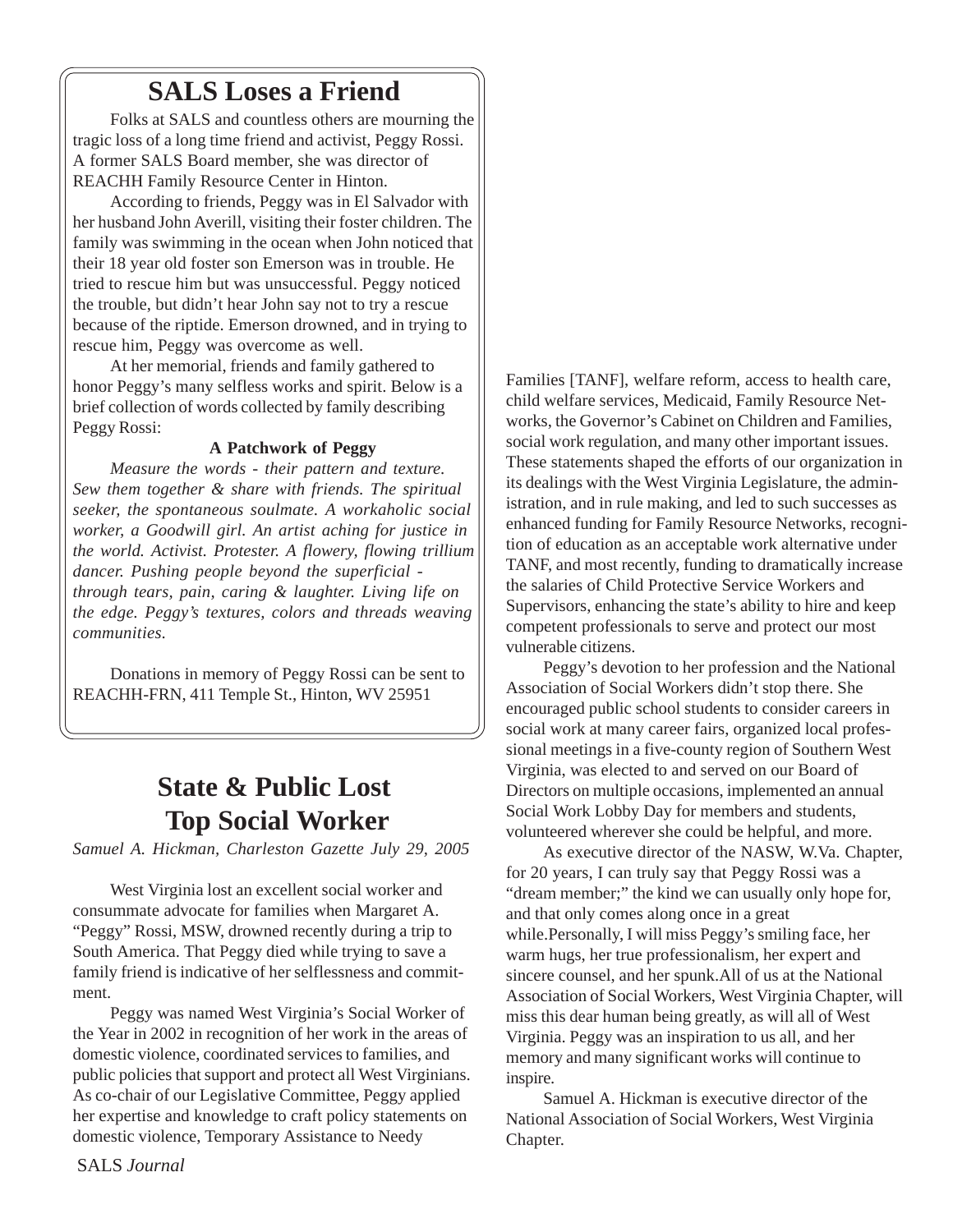## **SALS Loses a Friend**

Folks at SALS and countless others are mourning the tragic loss of a long time friend and activist, Peggy Rossi. A former SALS Board member, she was director of REACHH Family Resource Center in Hinton.

According to friends, Peggy was in El Salvador with her husband John Averill, visiting their foster children. The family was swimming in the ocean when John noticed that their 18 year old foster son Emerson was in trouble. He tried to rescue him but was unsuccessful. Peggy noticed the trouble, but didn't hear John say not to try a rescue because of the riptide. Emerson drowned, and in trying to rescue him, Peggy was overcome as well.

At her memorial, friends and family gathered to honor Peggy's many selfless works and spirit. Below is a brief collection of words collected by family describing Peggy Rossi:

#### **A Patchwork of Peggy**

*Measure the words - their pattern and texture. Sew them together & share with friends. The spiritual seeker, the spontaneous soulmate. A workaholic social worker, a Goodwill girl. An artist aching for justice in the world. Activist. Protester. A flowery, flowing trillium dancer. Pushing people beyond the superficial through tears, pain, caring & laughter. Living life on the edge. Peggy's textures, colors and threads weaving communities.*

Donations in memory of Peggy Rossi can be sent to REACHH-FRN, 411 Temple St., Hinton, WV 25951

## **State & Public Lost Top Social Worker**

*Samuel A. Hickman, Charleston Gazette July 29, 2005*

West Virginia lost an excellent social worker and consummate advocate for families when Margaret A. "Peggy" Rossi, MSW, drowned recently during a trip to South America. That Peggy died while trying to save a family friend is indicative of her selflessness and commitment.

Peggy was named West Virginia's Social Worker of the Year in 2002 in recognition of her work in the areas of domestic violence, coordinated services to families, and public policies that support and protect all West Virginians. As co-chair of our Legislative Committee, Peggy applied her expertise and knowledge to craft policy statements on domestic violence, Temporary Assistance to Needy

Families [TANF], welfare reform, access to health care, child welfare services, Medicaid, Family Resource Networks, the Governor's Cabinet on Children and Families, social work regulation, and many other important issues. These statements shaped the efforts of our organization in its dealings with the West Virginia Legislature, the administration, and in rule making, and led to such successes as enhanced funding for Family Resource Networks, recognition of education as an acceptable work alternative under TANF, and most recently, funding to dramatically increase the salaries of Child Protective Service Workers and Supervisors, enhancing the state's ability to hire and keep competent professionals to serve and protect our most vulnerable citizens.

Peggy's devotion to her profession and the National Association of Social Workers didn't stop there. She encouraged public school students to consider careers in social work at many career fairs, organized local professional meetings in a five-county region of Southern West Virginia, was elected to and served on our Board of Directors on multiple occasions, implemented an annual Social Work Lobby Day for members and students, volunteered wherever she could be helpful, and more.

As executive director of the NASW, W.Va. Chapter, for 20 years, I can truly say that Peggy Rossi was a "dream member;" the kind we can usually only hope for, and that only comes along once in a great while.Personally, I will miss Peggy's smiling face, her warm hugs, her true professionalism, her expert and sincere counsel, and her spunk.All of us at the National Association of Social Workers, West Virginia Chapter, will miss this dear human being greatly, as will all of West Virginia. Peggy was an inspiration to us all, and her memory and many significant works will continue to inspire.

Samuel A. Hickman is executive director of the National Association of Social Workers, West Virginia Chapter.

SALS *Journal*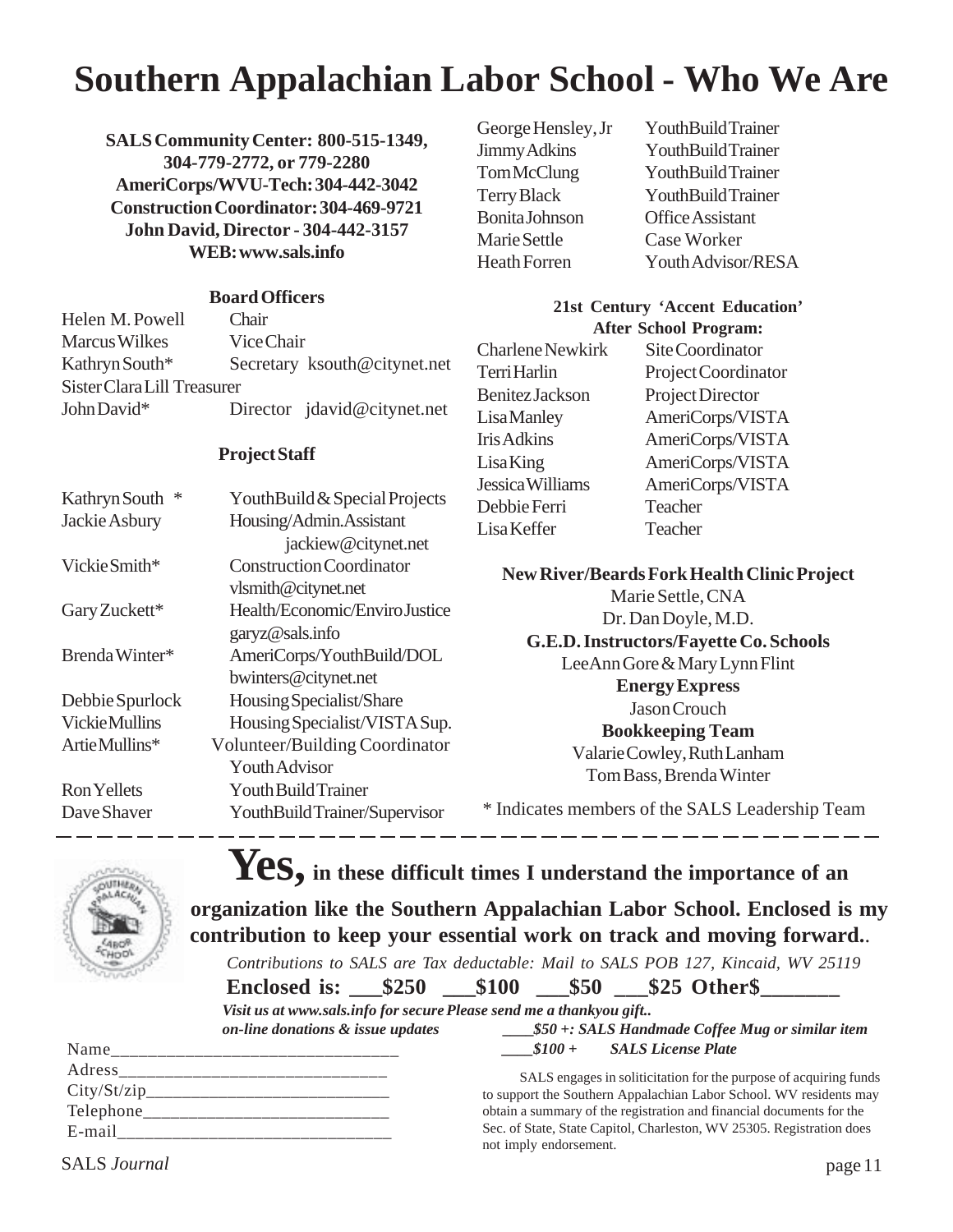## **Southern Appalachian Labor School - Who We Are**

**SALS Community Center: 800-515-1349, 304-779-2772, or 779-2280 AmeriCorps/WVU-Tech: 304-442-3042 Construction Coordinator: 304-469-9721 John David, Director - 304-442-3157 WEB: www.sals.info**

#### **Board Officers**

| Helen M. Powell             | Chair                        |
|-----------------------------|------------------------------|
| <b>Marcus Wilkes</b>        | Vice Chair                   |
| Kathryn South*              | Secretary ksouth@citynet.net |
| Sister Clara Lill Treasurer |                              |
| John David*                 | Director jdavid@citynet.net  |

#### **Project Staff**

| Kathryn South         | YouthBuild & Special Projects   | JUDI<br>Del |
|-----------------------|---------------------------------|-------------|
| Jackie Asbury         | Housing/Admin.Assistant         | Lis         |
|                       | jackiew@citynet.net             |             |
| Vickie Smith*         | <b>Construction Coordinator</b> |             |
|                       | vlsmith@citynet.net             |             |
| Gary Zuckett*         | Health/Economic/Enviro Justice  |             |
|                       | garyz@sals.info                 |             |
| Brenda Winter*        | AmeriCorps/YouthBuild/DOL       |             |
|                       | bwinters@citynet.net            |             |
| Debbie Spurlock       | Housing Specialist/Share        |             |
| <b>Vickie Mullins</b> | Housing Specialist/VISTA Sup.   |             |
| Artie Mullins*        | Volunteer/Building Coordinator  |             |
|                       | Youth Advisor                   |             |
| <b>Ron Yellets</b>    | Youth Build Trainer             |             |
| Dave Shaver           | YouthBuildTrainer/Supervisor    | $*$ ]       |
|                       |                                 |             |

Bonita Johnson Office Assistant Marie Settle Case Worker

George Hensley, Jr YouthBuild Trainer Jimmy Adkins YouthBuild Trainer Tom McClung YouthBuild Trainer Terry Black YouthBuild Trainer Heath Forren Youth Advisor/RESA

#### **21st Century 'Accent Education' After School Program:**

Charlene Newkirk Site Coordinator Terri Harlin Project Coordinator Benitez Jackson Project Director Lisa Manley AmeriCorps/VISTA Iris Adkins AmeriCorps/VISTA Lisa King AmeriCorps/VISTA Jessica Williams AmeriCorps/VISTA bbie Ferri Teacher a Keffer Teacher

#### **New River/Beards Fork Health Clinic Project**

Marie Settle, CNA Dr. Dan Doyle, M.D. **G.E.D. Instructors/Fayette Co. Schools** LeeAnn Gore & Mary Lynn Flint **Energy Express** Jason Crouch **Bookkeeping Team** Valarie Cowley, Ruth Lanham Tom Bass, Brenda Winter

ndicates members of the SALS Leadership Team



## **Yes, in these difficult times I understand the importance of an**

**organization like the Southern Appalachian Labor School. Enclosed is my contribution to keep your essential work on track and moving forward.**.

*Contributions to SALS are Tax deductable: Mail to SALS POB 127, Kincaid, WV 25119*

Enclosed is:  $$250$   $$100$   $$50$   $$25$  Other\$

*Visit us at www.sals.info for secure Please send me a thankyou gift.. on-line donations & issue updates* **\_\_\_\_***\$50 +: SALS Handmade Coffee Mug or similar item*

| Name         |
|--------------|
| Adress       |
| City/St/zip  |
| Telephone___ |
| E-mail       |
|              |

 $$100 +$  SALS License Plate

SALS engages in soliticitation for the purpose of acquiring funds to support the Southern Appalachian Labor School. WV residents may obtain a summary of the registration and financial documents for the Sec. of State, State Capitol, Charleston, WV 25305. Registration does not imply endorsement.

SALS *Journal* page 11